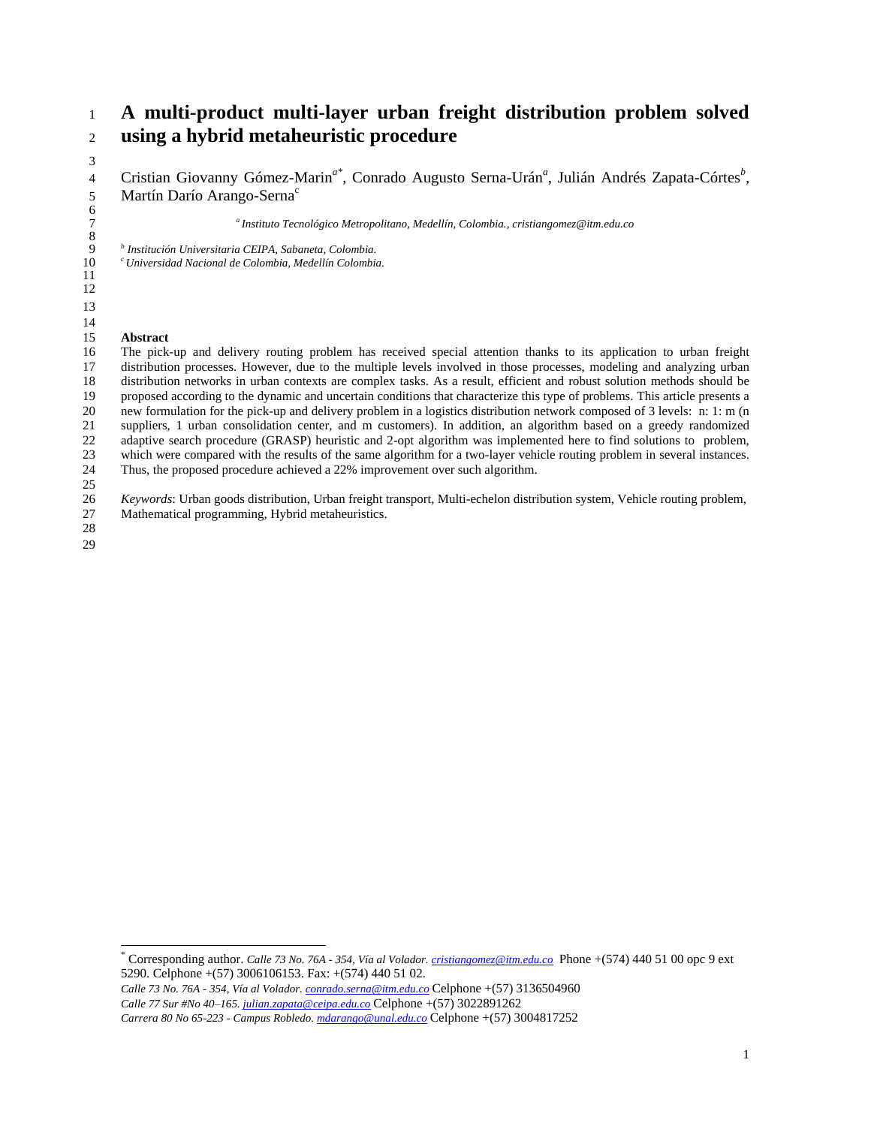# **A multi-product multi-layer urban freight distribution problem solved using a hybrid metaheuristic procedure**

4 Cristian Giovanny Gómez-Marin<sup>a\*</sup>, Conrado Augusto Serna-Urán<sup>a</sup>, Julián Andrés Zapata-Córtes<sup>b</sup>, Martín Darío Arango-Serna<sup>c</sup>

*<sup>a</sup> Instituto Tecnológico Metropolitano, Medellín, Colombia., cristiangomez@itm.edu.co*

*b Institución Universitaria CEIPA, Sabaneta, Colombia.*

*c Universidad Nacional de Colombia, Medellín Colombia.*

#### **Abstract**

 The pick-up and delivery routing problem has received special attention thanks to its application to urban freight distribution processes. However, due to the multiple levels involved in those processes, modeling and analyzing urban distribution networks in urban contexts are complex tasks. As a result, efficient and robust solution methods should be proposed according to the dynamic and uncertain conditions that characterize this type of problems. This article presents a new formulation for the pick-up and delivery problem in a logistics distribution network composed of 3 levels: n: 1: m (n suppliers, 1 urban consolidation center, and m customers). In addition, an algorithm based on a greedy randomized 22 adaptive search procedure (GRASP) heuristic and 2-opt algorithm was implemented here to find solutions to problem, which were compared with the results of the same algorithm for a two-layer vehicle routing problem in several instances. Thus, the proposed procedure achieved a 22% improvement over such algorithm. 

 *Keywords*: Urban goods distribution, Urban freight transport, Multi-echelon distribution system, Vehicle routing problem, Mathematical programming, Hybrid metaheuristics.

 

l

  $\frac{6}{7}$ 

 $\begin{array}{c} 8 \\ 9 \end{array}$ 

<sup>\*</sup> Corresponding author. *Calle 73 No. 76A - 354, Vía al Volador. [cristiangomez@itm.edu.co](mailto:cristiangomez@itm.edu.co)* Phone +(574) 440 51 00 opc 9 ext 5290. Celphone +(57) 3006106153. Fax: +(574) 440 51 02.

*Calle 73 No. 76A - 354, Vía al Volador. [conrado.serna@itm.edu.co](mailto:conrado.serna@itm.edu.co)* Celphone +(57) 3136504960 *Calle 77 Sur #No 40–165. [julian.zapata@ceipa.edu.co](mailto:julian.zapata@ceipa.edu.co)* Celphone +(57) 3022891262 *Carrera 80 No 65-223 - Campus Robledo. [mdarango@unal.edu.co](mailto:mdarango@unal.edu.co)* Celphone +(57) 3004817252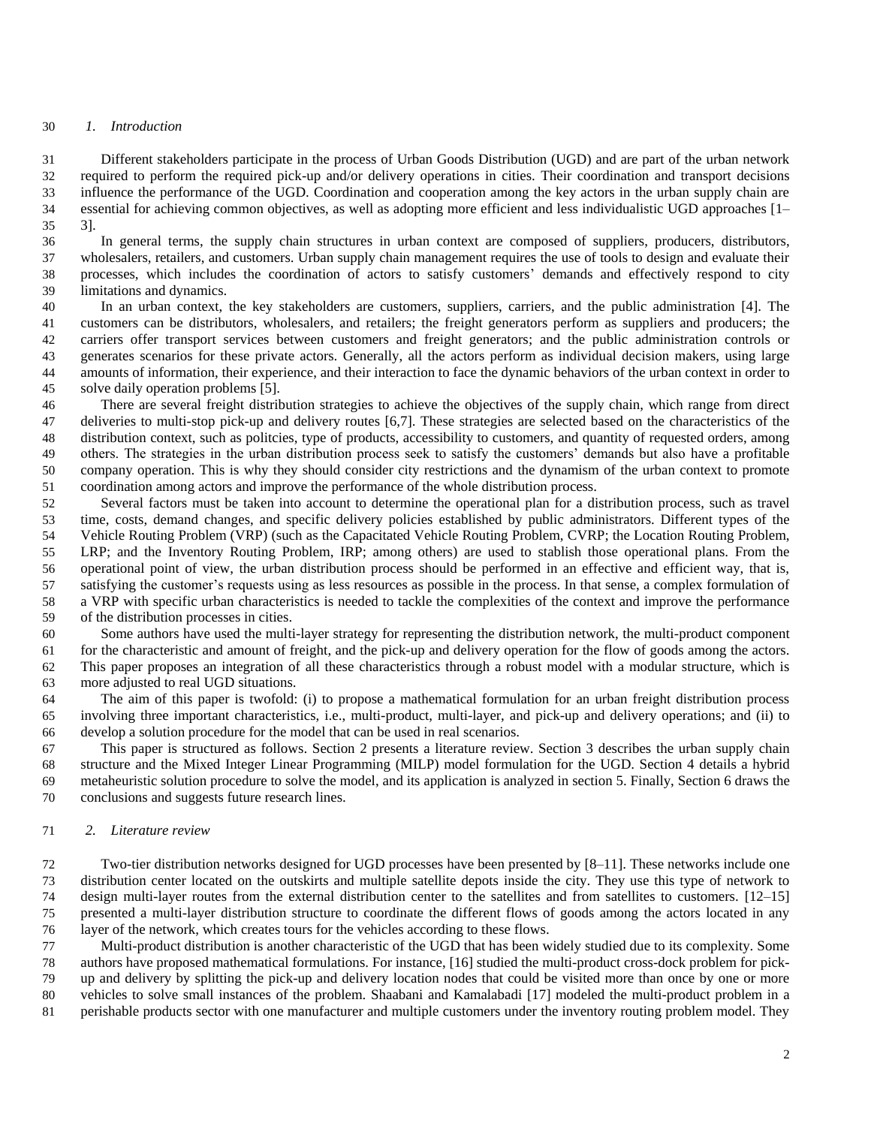#### *1. Introduction*

 Different stakeholders participate in the process of Urban Goods Distribution (UGD) and are part of the urban network required to perform the required pick-up and/or delivery operations in cities. Their coordination and transport decisions influence the performance of the UGD. Coordination and cooperation among the key actors in the urban supply chain are essential for achieving common objectives, as well as adopting more efficient and less individualistic UGD approaches [1– 3].

 In general terms, the supply chain structures in urban context are composed of suppliers, producers, distributors, wholesalers, retailers, and customers. Urban supply chain management requires the use of tools to design and evaluate their processes, which includes the coordination of actors to satisfy customers' demands and effectively respond to city limitations and dynamics.

 In an urban context, the key stakeholders are customers, suppliers, carriers, and the public administration [4]. The customers can be distributors, wholesalers, and retailers; the freight generators perform as suppliers and producers; the carriers offer transport services between customers and freight generators; and the public administration controls or generates scenarios for these private actors. Generally, all the actors perform as individual decision makers, using large amounts of information, their experience, and their interaction to face the dynamic behaviors of the urban context in order to solve daily operation problems [5].

 There are several freight distribution strategies to achieve the objectives of the supply chain, which range from direct deliveries to multi-stop pick-up and delivery routes [6,7]. These strategies are selected based on the characteristics of the distribution context, such as politcies, type of products, accessibility to customers, and quantity of requested orders, among others. The strategies in the urban distribution process seek to satisfy the customers' demands but also have a profitable company operation. This is why they should consider city restrictions and the dynamism of the urban context to promote coordination among actors and improve the performance of the whole distribution process.

 Several factors must be taken into account to determine the operational plan for a distribution process, such as travel time, costs, demand changes, and specific delivery policies established by public administrators. Different types of the Vehicle Routing Problem (VRP) (such as the Capacitated Vehicle Routing Problem, CVRP; the Location Routing Problem, LRP; and the Inventory Routing Problem, IRP; among others) are used to stablish those operational plans. From the operational point of view, the urban distribution process should be performed in an effective and efficient way, that is, satisfying the customer's requests using as less resources as possible in the process. In that sense, a complex formulation of a VRP with specific urban characteristics is needed to tackle the complexities of the context and improve the performance of the distribution processes in cities.

 Some authors have used the multi-layer strategy for representing the distribution network, the multi-product component for the characteristic and amount of freight, and the pick-up and delivery operation for the flow of goods among the actors. This paper proposes an integration of all these characteristics through a robust model with a modular structure, which is more adjusted to real UGD situations.

 The aim of this paper is twofold: (i) to propose a mathematical formulation for an urban freight distribution process involving three important characteristics, i.e., multi-product, multi-layer, and pick-up and delivery operations; and (ii) to develop a solution procedure for the model that can be used in real scenarios.

 This paper is structured as follows. Section 2 presents a literature review. Section 3 describes the urban supply chain structure and the Mixed Integer Linear Programming (MILP) model formulation for the UGD. Section 4 details a hybrid metaheuristic solution procedure to solve the model, and its application is analyzed in section 5. Finally, Section 6 draws the conclusions and suggests future research lines.

#### *2. Literature review*

 Two-tier distribution networks designed for UGD processes have been presented by [8–11]. These networks include one distribution center located on the outskirts and multiple satellite depots inside the city. They use this type of network to design multi-layer routes from the external distribution center to the satellites and from satellites to customers. [12–15] presented a multi-layer distribution structure to coordinate the different flows of goods among the actors located in any layer of the network, which creates tours for the vehicles according to these flows.

 Multi-product distribution is another characteristic of the UGD that has been widely studied due to its complexity. Some authors have proposed mathematical formulations. For instance, [16] studied the multi-product cross-dock problem for pick- up and delivery by splitting the pick-up and delivery location nodes that could be visited more than once by one or more vehicles to solve small instances of the problem. Shaabani and Kamalabadi [17] modeled the multi-product problem in a perishable products sector with one manufacturer and multiple customers under the inventory routing problem model. They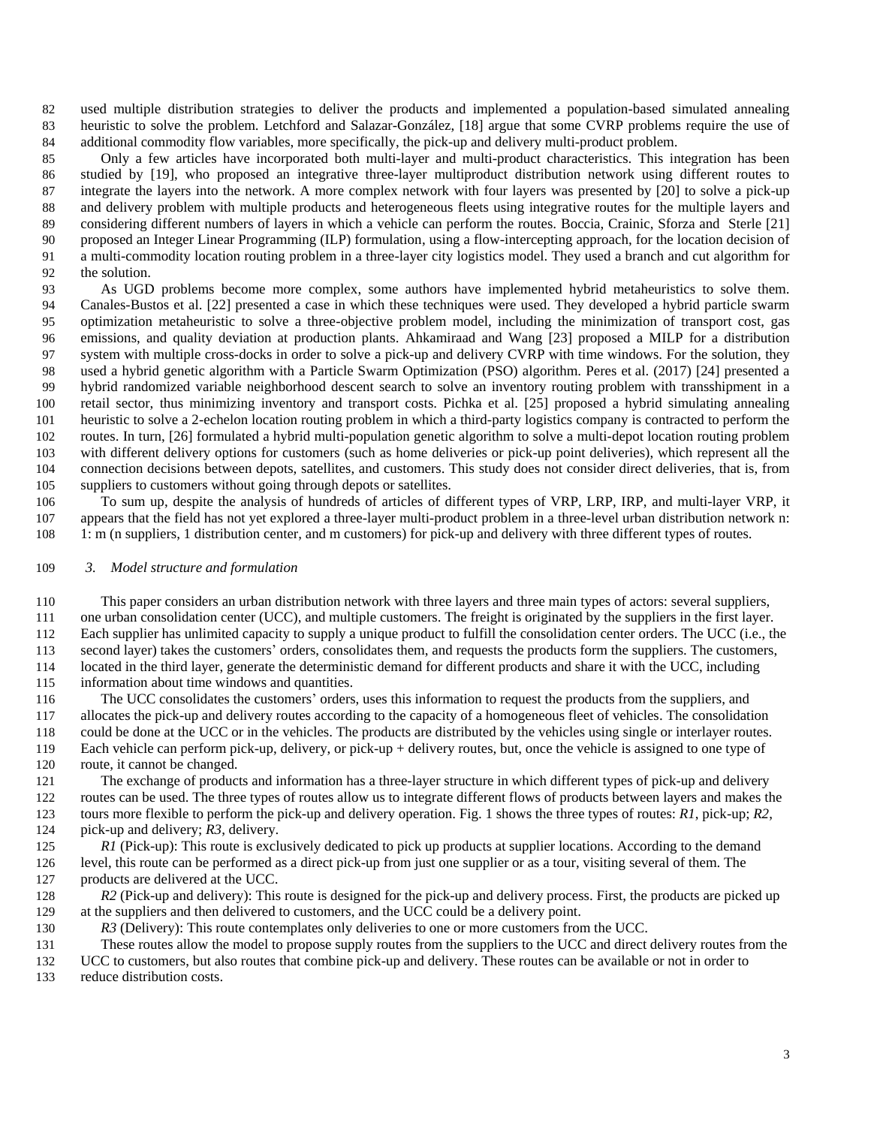used multiple distribution strategies to deliver the products and implemented a population-based simulated annealing heuristic to solve the problem. Letchford and Salazar-González, [18] argue that some CVRP problems require the use of additional commodity flow variables, more specifically, the pick-up and delivery multi-product problem.

 Only a few articles have incorporated both multi-layer and multi-product characteristics. This integration has been studied by [19], who proposed an integrative three-layer multiproduct distribution network using different routes to integrate the layers into the network. A more complex network with four layers was presented by [20] to solve a pick-up and delivery problem with multiple products and heterogeneous fleets using integrative routes for the multiple layers and considering different numbers of layers in which a vehicle can perform the routes. Boccia, Crainic, Sforza and Sterle [21] proposed an Integer Linear Programming (ILP) formulation, using a flow-intercepting approach, for the location decision of a multi-commodity location routing problem in a three-layer city logistics model. They used a branch and cut algorithm for the solution.

 As UGD problems become more complex, some authors have implemented hybrid metaheuristics to solve them. Canales-Bustos et al. [22] presented a case in which these techniques were used. They developed a hybrid particle swarm optimization metaheuristic to solve a three-objective problem model, including the minimization of transport cost, gas emissions, and quality deviation at production plants. Ahkamiraad and Wang [23] proposed a MILP for a distribution system with multiple cross-docks in order to solve a pick-up and delivery CVRP with time windows. For the solution, they used a hybrid genetic algorithm with a Particle Swarm Optimization (PSO) algorithm. Peres et al. (2017) [24] presented a hybrid randomized variable neighborhood descent search to solve an inventory routing problem with transshipment in a retail sector, thus minimizing inventory and transport costs. Pichka et al. [25] proposed a hybrid simulating annealing heuristic to solve a 2-echelon location routing problem in which a third-party logistics company is contracted to perform the routes. In turn, [26] formulated a hybrid multi-population genetic algorithm to solve a multi-depot location routing problem with different delivery options for customers (such as home deliveries or pick-up point deliveries), which represent all the connection decisions between depots, satellites, and customers. This study does not consider direct deliveries, that is, from suppliers to customers without going through depots or satellites.

 To sum up, despite the analysis of hundreds of articles of different types of VRP, LRP, IRP, and multi-layer VRP, it appears that the field has not yet explored a three-layer multi-product problem in a three-level urban distribution network n: 1: m (n suppliers, 1 distribution center, and m customers) for pick-up and delivery with three different types of routes.

### *3. Model structure and formulation*

 This paper considers an urban distribution network with three layers and three main types of actors: several suppliers, one urban consolidation center (UCC), and multiple customers. The freight is originated by the suppliers in the first layer. Each supplier has unlimited capacity to supply a unique product to fulfill the consolidation center orders. The UCC (i.e., the second layer) takes the customers' orders, consolidates them, and requests the products form the suppliers. The customers, located in the third layer, generate the deterministic demand for different products and share it with the UCC, including information about time windows and quantities.

 The UCC consolidates the customers' orders, uses this information to request the products from the suppliers, and allocates the pick-up and delivery routes according to the capacity of a homogeneous fleet of vehicles. The consolidation could be done at the UCC or in the vehicles. The products are distributed by the vehicles using single or interlayer routes. Each vehicle can perform pick-up, delivery, or pick-up + delivery routes, but, once the vehicle is assigned to one type of route, it cannot be changed.

 The exchange of products and information has a three-layer structure in which different types of pick-up and delivery routes can be used. The three types of routes allow us to integrate different flows of products between layers and makes the tours more flexible to perform the pick-up and delivery operation. Fig. 1 shows the three types of routes: *R1*, pick-up; *R2*, pick-up and delivery; *R3*, delivery.

*R1* (Pick-up): This route is exclusively dedicated to pick up products at supplier locations. According to the demand level, this route can be performed as a direct pick-up from just one supplier or as a tour, visiting several of them. The products are delivered at the UCC.

 *R2* (Pick-up and delivery): This route is designed for the pick-up and delivery process. First, the products are picked up at the suppliers and then delivered to customers, and the UCC could be a delivery point.

*R3* (Delivery): This route contemplates only deliveries to one or more customers from the UCC.

 These routes allow the model to propose supply routes from the suppliers to the UCC and direct delivery routes from the UCC to customers, but also routes that combine pick-up and delivery. These routes can be available or not in order to reduce distribution costs.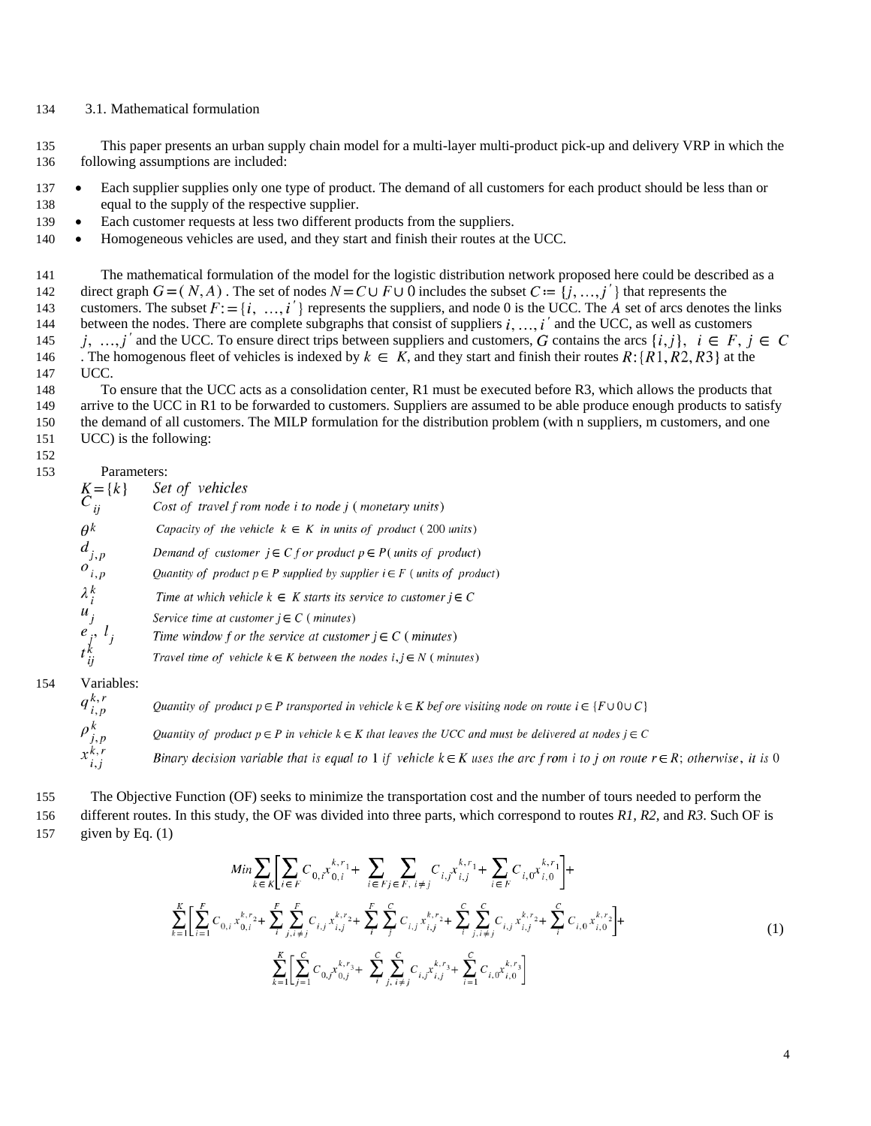# 3.1. Mathematical formulation

 This paper presents an urban supply chain model for a multi-layer multi-product pick-up and delivery VRP in which the following assumptions are included:

- 137 Each supplier supplies only one type of product. The demand of all customers for each product should be less than or equal to the supply of the respective supplier.
- Each customer requests at less two different products from the suppliers.
- 140 Homogeneous vehicles are used, and they start and finish their routes at the UCC.

 The mathematical formulation of the model for the logistic distribution network proposed here could be described as a 142 direct graph  $G = (N, A)$ . The set of nodes  $N = C \cup F \cup \overline{0}$  includes the subset  $C = \{j, ..., j'\}$  that represents the 143 customers. The subset  $F: = \{i, ..., i'\}$  represents the suppliers, and node 0 is the UCC. The  $\vec{A}$  set of arcs denotes the links 144 between the nodes. There are complete subgraphs that consist of suppliers  $i, ..., i'$  and the UCC, as well as customers 145 *i*, ..., *j'* and the UCC. To ensure direct trips between suppliers and customers, G contains the arcs  $\{i, j\}$ ,  $i \in F$ ,  $j \in C$ 146 . The homogenous fleet of vehicles is indexed by  $k \in K$ , and they start and finish their routes  $R:\{R1, R2, R3\}$  at the UCC.

- To ensure that the UCC acts as a consolidation center, R1 must be executed before R3, which allows the products that arrive to the UCC in R1 to be forwarded to customers. Suppliers are assumed to be able produce enough products to satisfy the demand of all customers. The MILP formulation for the distribution problem (with n suppliers, m customers, and one UCC) is the following:
- 

### Parameters:

| $\begin{array}{c}\nK = \{k\} \\ C_{ij}\n\end{array}$ | Set of vehicles                                                                 |
|------------------------------------------------------|---------------------------------------------------------------------------------|
|                                                      | Cost of travel f rom node i to node j (monetary units)                          |
| $\theta^k$                                           | Capacity of the vehicle $k \in K$ in units of product (200 units)               |
| $d_{j,p}$                                            | Demand of customer $j \in C$ f or product $p \in P$ (units of product)          |
| $o_{i,p}$                                            | Quantity of product $p \in P$ supplied by supplier $i \in F$ (units of product) |
| $\lambda_i^k$                                        | Time at which vehicle $k \in K$ starts its service to customer $j \in C$        |
| $u_j$                                                | Service time at customer $j \in C$ (minutes)                                    |
|                                                      | Time window f or the service at customer $j \in C$ (minutes)                    |
| $\begin{array}{c} e_j, l_j \\ t_{ij}^k \end{array}$  | Travel time of vehicle $k \in K$ between the nodes $i, j \in N$ (minutes)       |
|                                                      |                                                                                 |

Variables:

| $q_{i,p}^{k,r}$ | Quantity of product $p \in P$ transported in vehicle $k \in K$ before visiting node on route $i \in \{F \cup 0 \cup C\}$          |
|-----------------|-----------------------------------------------------------------------------------------------------------------------------------|
| $\rho_{j,p}^k$  | Quantity of product $p \in P$ in vehicle $k \in K$ that leaves the UCC and must be delivered at nodes $j \in C$                   |
| $x_{i,j}^{k,r}$ | Binary decision variable that is equal to 1 if vehicle $k \in K$ uses the arc from i to j on route $r \in R$ ; otherwise, it is 0 |

 The Objective Function (OF) seeks to minimize the transportation cost and the number of tours needed to perform the different routes. In this study, the OF was divided into three parts, which correspond to routes *R1, R2,* and *R3*. Such OF is 157 given by Eq.  $(1)$ 

<span id="page-3-0"></span>
$$
Min \sum_{k \in K} \left[ \sum_{i \in F} C_{0,i} x_{0,i}^{k,r_1} + \sum_{i \in F} \sum_{j \in F, i \neq j} C_{i,j} x_{i,j}^{k,r_1} + \sum_{i \in F} C_{i,0} x_{i,0}^{k,r_1} \right] +
$$
  

$$
\sum_{k=1}^{K} \left[ \sum_{i=1}^{F} C_{0,i} x_{0,i}^{k,r_2} + \sum_{i}^{F} \sum_{j,i \neq j}^{F} C_{i,j} x_{i,j}^{k,r_2} + \sum_{i}^{F} \sum_{j,i \neq j}^{F} C_{i,j} x_{i,j}^{k,r_2} + \sum_{i}^{F} \sum_{j,i \neq j}^{F} C_{i,j} x_{i,j}^{k,r_2} + \sum_{i}^{F} C_{i,0} x_{i,0}^{k,r_2} \right] +
$$
  

$$
\sum_{k=1}^{K} \left[ \sum_{j=1}^{C} C_{0,j} x_{0,j}^{k,r_3} + \sum_{i}^{C} \sum_{j,i \neq j}^{F} C_{i,j} x_{i,j}^{k,r_3} + \sum_{i=1}^{C} C_{i,0} x_{i,0}^{k,r_3} \right]
$$
(1)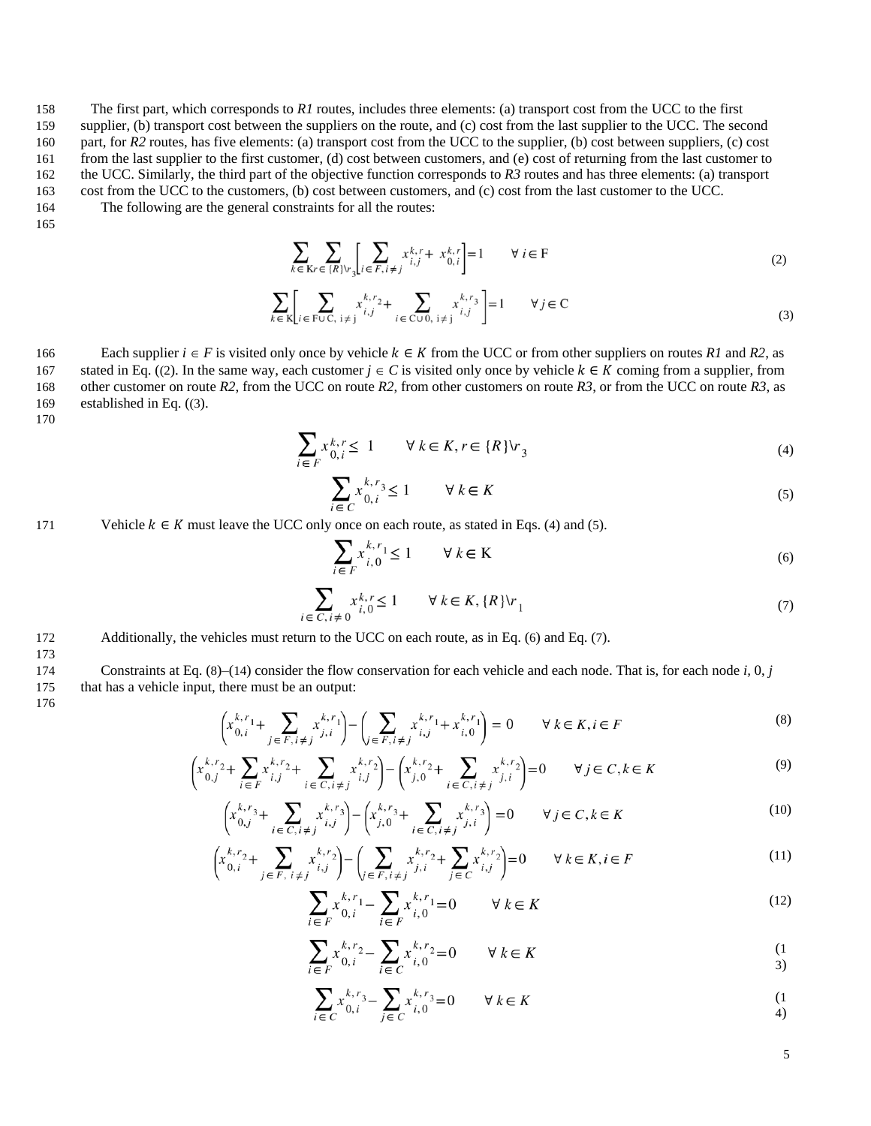The first part, which corresponds to *R1* routes, includes three elements: (a) transport cost from the UCC to the first supplier, (b) transport cost between the suppliers on the route, and (c) cost from the last supplier to the UCC. The second 160 part, for *R2* routes, has five elements: (a) transport cost from the UCC to the supplier, (b) cost between suppliers, (c) cost from the last supplier to the first customer, (d) cost between customers, and (e) cost of returning from the last customer to the UCC. Similarly, the third part of the objective function corresponds to *R3* routes and has three elements: (a) transport

163 cost from the UCC to the customers, (b) cost between customers, and (c) cost from the last customer to the UCC.

164 The following are the general constraints for all the routes:

165

<span id="page-4-0"></span>
$$
\sum_{k \in \mathcal{K}r \in \{R\} \cup r} \sum_{j} \left[ \sum_{i \in F, i \neq j} x_{i,j}^{k,r} + x_{0,i}^{k,r} \right] = 1 \qquad \forall \ i \in F
$$
\n(2)

$$
\sum_{k \in \mathcal{K}} \left[ \sum_{i \in \text{FUC, } i \neq j} x_{i,j}^{k,r_2} + \sum_{i \in \text{CUD, } i \neq j} x_{i,j}^{k,r_3} \right] = 1 \qquad \forall j \in \mathcal{C}
$$
\n(3)

166 Each supplier  $i \in F$  is visited only once by vehicle  $k \in K$  from the UCC or from other suppliers on routes *R1* and *R2*, as 167 stated in Eq. ([\(2](#page-4-0)). In the same way, each customer  $j \in C$  is visited only once by vehicle  $k \in K$  coming from a supplier, from 168 other customer on route *R2*, from the UCC on route *R2*, from other customers on route *R3*, or from the UCC on route *R3*, as 169 established in Eq. ([\(3](#page-4-1)).

170

$$
\sum_{i \in F} x_{0,i}^{k,r} \le 1 \qquad \forall \, k \in K, r \in \{R\} \setminus r_3 \tag{4}
$$

<span id="page-4-2"></span><span id="page-4-1"></span>
$$
\sum_{i \in C} x_{0,i}^{k,r_3} \le 1 \qquad \forall \ k \in K \tag{5}
$$

171 Vehicle  $k \in K$  must leave the UCC only once on each route, as stated in Eqs[. \(](#page-4-2)4) and [\(](#page-4-3)5).

<span id="page-4-6"></span><span id="page-4-5"></span><span id="page-4-4"></span><span id="page-4-3"></span>
$$
\sum_{i \in F} x_{i,0}^{k,r_1} \le 1 \qquad \forall \ k \in K \tag{6}
$$

$$
\sum_{i \in C, i \neq 0} x_{i,0}^{k,r} \le 1 \qquad \forall k \in K, \{R\} \setminus r_1 \tag{7}
$$

172 Additionally, the vehicles must return to the UCC on each route, as in Eq. [\(](#page-4-4)6) and Eq[. \(](#page-4-5)7).

174 Constraints at Eq. ([8](#page-4-6))–([14](#page-4-7)) consider the flow conservation for each vehicle and each node. That is, for each node *i,* 0, *j* 175 that has a vehicle input, there must be an output:

176

173

$$
\left(x_{0,i}^{k,r_1} + \sum_{j \in F, i \neq j} x_{j,i}^{k,r_1}\right) - \left(\sum_{j \in F, i \neq j} x_{i,j}^{k,r_1} + x_{i,0}^{k,r_1}\right) = 0 \qquad \forall \ k \in K, i \in F
$$
\n<sup>(8)</sup>

$$
\left(x_{0,j}^{k,r_2} + \sum_{i \in F} x_{i,j}^{k,r_2} + \sum_{i \in C, i \neq j} x_{i,j}^{k,r_2}\right) - \left(x_{j,0}^{k,r_2} + \sum_{i \in C, i \neq j} x_{j,i}^{k,r_2}\right) = 0 \qquad \forall j \in C, k \in K
$$
\n<sup>(9)</sup>

$$
\left(x_{0,j}^{k,r_3} + \sum_{i \in C, i \neq j} x_{i,j}^{k,r_3}\right) - \left(x_{j,0}^{k,r_3} + \sum_{i \in C, i \neq j} x_{j,i}^{k,r_3}\right) = 0 \qquad \forall j \in C, k \in K
$$
\n(10)

$$
\left(x_{0,i}^{k,r_2} + \sum_{j \in F, i \neq j} x_{i,j}^{k,r_2}\right) - \left(\sum_{j \in F, i \neq j} x_{j,i}^{k,r_2} + \sum_{j \in C} x_{i,j}^{k,r_2}\right) = 0 \qquad \forall k \in K, i \in F
$$
\n(11)

$$
\sum_{i \in F} x_{0,i}^{k,r} - \sum_{i \in F} x_{i,0}^{k,r} = 0 \qquad \forall \ k \in K
$$
 (12)

$$
\sum_{i \in F} x_{0,i}^{k,r_2} - \sum_{i \in C} x_{i,0}^{k,r_2} = 0 \qquad \forall \ k \in K
$$
\n(1)

<span id="page-4-7"></span>
$$
\sum_{i \in C} x_{0,i}^{k,r_3} - \sum_{j \in C} x_{i,0}^{k,r_3} = 0 \qquad \forall \ k \in K
$$
\n(1)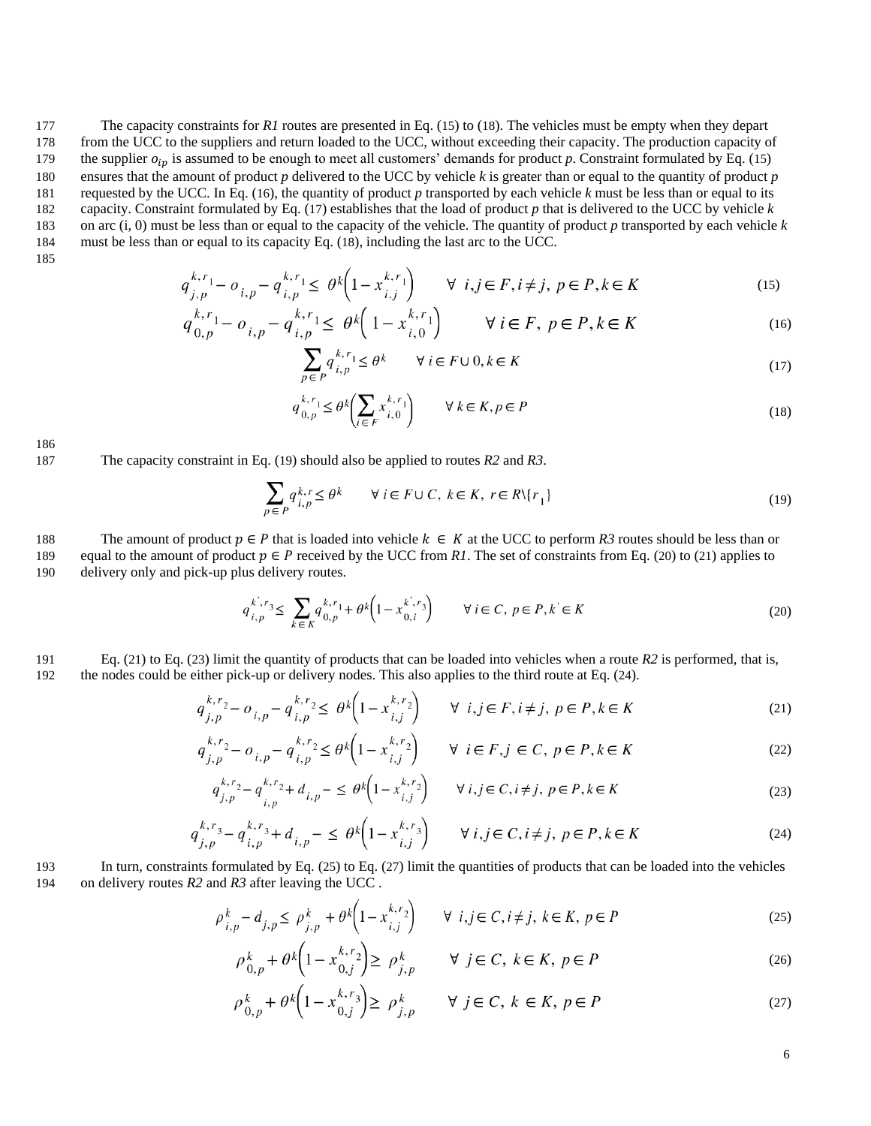The capacity constraints for *R1* routes are presented in Eq. ([15](#page-5-0)) to ([18](#page-5-1)). The vehicles must be empty when they depart from the UCC to the suppliers and return loaded to the UCC, without exceeding their capacity. The production capacity of 179 the supplier  $o_{in}$  is assumed to be enough to meet all customers' demands for product p. Constraint formulated by Eq. ([15](#page-5-0)) ensures that the amount of product *p* delivered to the UCC by vehicle *k* is greater than or equal to the quantity of product *p* requested by the UCC. In Eq. ([16](#page-5-2)), the quantity of product *p* transported by each vehicle *k* must be less than or equal to its capacity. Constraint formulated by Eq. ([17](#page-5-3)) establishes that the load of product *p* that is delivered to the UCC by vehicle *k* on arc (i, 0) must be less than or equal to the capacity of the vehicle. The quantity of product *p* transported by each vehicle *k* must be less than or equal to its capacity Eq. ([18](#page-5-1)), including the last arc to the UCC.

185

$$
q_{j,p}^{k,r_1} - o_{i,p} - q_{i,p}^{k,r_1} \leq \theta^k \left(1 - x_{i,j}^{k,r_1}\right) \qquad \forall \ i, j \in F, i \neq j, \ p \in P, k \in K
$$
 (15)

$$
q_{0,p}^{k,r_1} - o_{i,p} - q_{i,p}^{k,r_1} \leq \theta^k \left(1 - x_{i,0}^{k,r_1}\right) \qquad \forall i \in F, \ p \in P, k \in K
$$
 (16)

<span id="page-5-3"></span><span id="page-5-2"></span><span id="page-5-1"></span><span id="page-5-0"></span>
$$
\sum_{p \in P} q_{i,p}^{k,r_1} \le \theta^k \qquad \forall \ i \in F \cup 0, k \in K \tag{17}
$$

<span id="page-5-4"></span>
$$
q_{0,p}^{k,r_1} \leq \theta^k \left( \sum_{i \in F} x_{i,0}^{k,r_1} \right) \qquad \forall \ k \in K, p \in P \tag{18}
$$

186

187 The capacity constraint in Eq. ([19](#page-5-4)) should also be applied to routes *R2* and *R3*.

<span id="page-5-5"></span>
$$
\sum_{p \in P} q_{i,p}^{k,r} \le \theta^k \qquad \forall \ i \in F \cup C, \ k \in K, \ r \in R \setminus \{r_1\}
$$
\n
$$
\tag{19}
$$

# 188 The amount of product  $p \in P$  that is loaded into vehicle  $k \in K$  at the UCC to perform R3 routes should be less than or

189 equal to the amount of product  $p \in P$  received by the UCC from *R1*. The set of constraints from Eq. ([20](#page-5-5)) to ([21](#page-5-6)) applies to 190 delivery only and pick-up plus delivery routes.

<span id="page-5-6"></span>
$$
q_{i,p}^{k',r_3} \le \sum_{k \in K} q_{0,p}^{k,r_1} + \theta^k \left( 1 - x_{0,i}^{k',r_3} \right) \qquad \forall \ i \in C, \ p \in P, k \in K
$$
\n<sup>(20)</sup>

### 191 Eq. ([21](#page-5-6)) to Eq. ([23](#page-5-7)) limit the quantity of products that can be loaded into vehicles when a route *R2* is performed, that is, 192 the nodes could be either pick-up or delivery nodes. This also applies to the third route at Eq. ([24](#page-5-8)).

$$
q_{j,p}^{k,r_2} - o_{i,p} - q_{i,p}^{k,r_2} \leq \theta^k \left(1 - x_{i,j}^{k,r_2}\right) \qquad \forall \ i, j \in F, i \neq j, \ p \in P, k \in K
$$
\n<sup>(21)</sup>

$$
q_{j,p}^{k,r_2} - o_{i,p} - q_{i,p}^{k,r_2} \le \theta^k \left( 1 - x_{i,j}^{k,r_2} \right) \qquad \forall \ i \in F, j \in C, \ p \in P, k \in K
$$
 (22)

<span id="page-5-7"></span>
$$
q_{j,p}^{k,r_2} - q_{i,p}^{k,r_2} + d_{i,p} - \leq \theta^k \left( 1 - x_{i,j}^{k,r_2} \right) \qquad \forall \ i, j \in C, i \neq j, \ p \in P, k \in K
$$
\n<sup>(23)</sup>

$$
q_{j,p}^{k,r_3} - q_{i,p}^{k,r_3} + d_{i,p} - \leq \theta^k \left( 1 - x_{i,j}^{k,r_3} \right) \qquad \forall \ i, j \in C, i \neq j, \ p \in P, k \in K \tag{24}
$$

193 In turn, constraints formulated by Eq. ([25](#page-5-9)) to Eq. ([27](#page-5-10)) limit the quantities of products that can be loaded into the vehicles 194 on delivery routes *R2* and *R3* after leaving the UCC .

$$
\rho_{i,p}^k - d_{j,p} \le \rho_{j,p}^k + \theta^k \left( 1 - x_{i,j}^{k,r_2} \right) \qquad \forall \ i, j \in C, i \ne j, \ k \in K, \ p \in P \tag{25}
$$

<span id="page-5-9"></span><span id="page-5-8"></span>
$$
\rho_{0,p}^k + \theta^k \left( 1 - x_{0,j}^{k,r} \right) \ge \rho_{j,p}^k \qquad \forall j \in C, k \in K, p \in P
$$
\n
$$
(26)
$$

<span id="page-5-11"></span><span id="page-5-10"></span>
$$
\rho_{0,p}^k + \theta^k \left( 1 - x_{0,j}^{k,r_3} \right) \ge \rho_{j,p}^k \qquad \forall j \in C, k \in K, p \in P \tag{27}
$$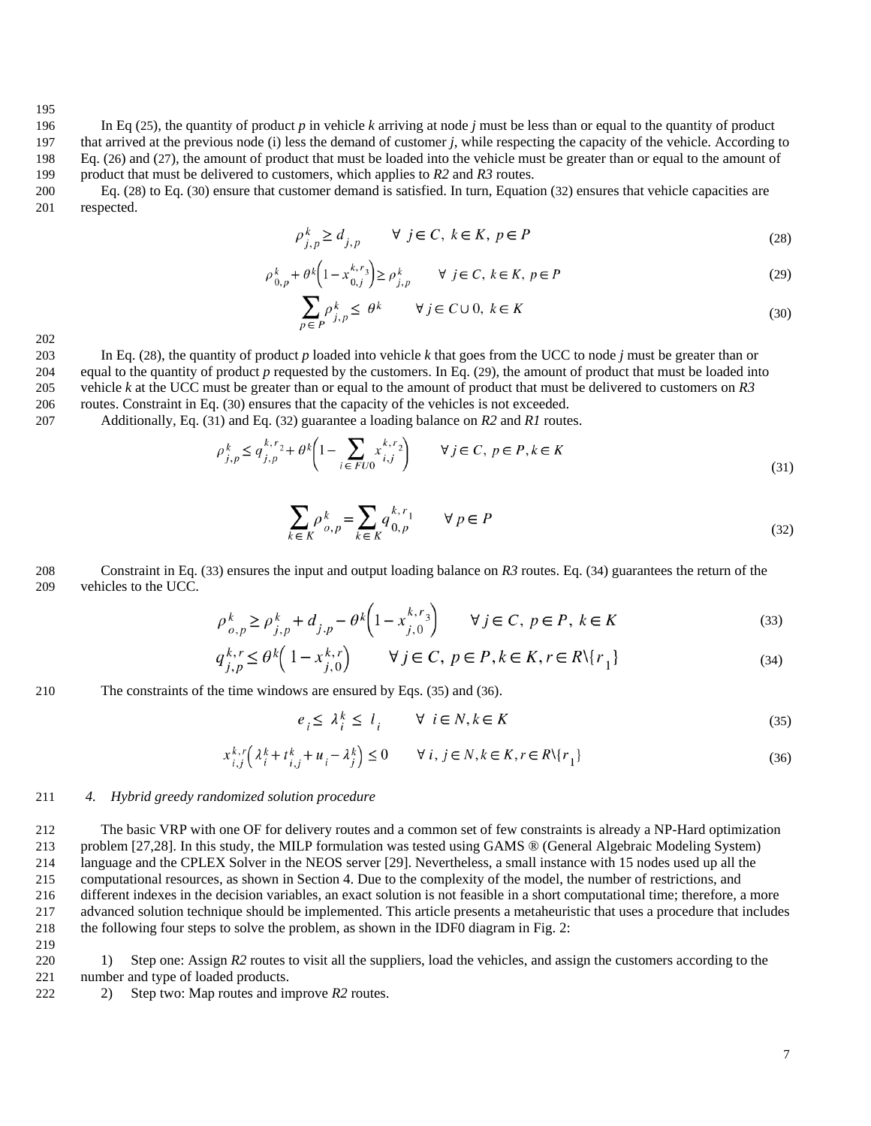In Eq ([25](#page-5-9)), the quantity of product *p* in vehicle *k* arriving at node *j* must be less than or equal to the quantity of product that arrived at the previous node (i) less the demand of customer *j*, while respecting the capacity of the vehicle. According to Eq. ([26](#page-5-11)) and ([27](#page-5-10)), the amount of product that must be loaded into the vehicle must be greater than or equal to the amount of product that must be delivered to customers, which applies to *R2* and *R3* routes.

 Eq. ([28](#page-6-0)) to Eq. ([30](#page-6-1)) ensure that customer demand is satisfied. In turn, Equation ([32](#page-6-2)) ensures that vehicle capacities are respected.

<span id="page-6-3"></span><span id="page-6-0"></span>
$$
\rho_{j,p}^k \ge d_{j,p} \qquad \forall \ j \in C, \ k \in K, \ p \in P \tag{28}
$$

$$
\rho_{0,p}^k + \theta^k \left(1 - x_{0,j}^{k,r_3}\right) \ge \rho_{j,p}^k \qquad \forall j \in C, \ k \in K, \ p \in P
$$
\n
$$
(29)
$$

<span id="page-6-1"></span>
$$
\sum_{p \in P} \rho_{j,p}^k \le \theta^k \qquad \forall j \in C \cup 0, \ k \in K \tag{30}
$$

 In Eq. ([28](#page-6-0)), the quantity of product *p* loaded into vehicle *k* that goes from the UCC to node *j* must be greater than or equal to the quantity of product *p* requested by the customers. In Eq. ([29](#page-6-3)), the amount of product that must be loaded into vehicle *k* at the UCC must be greater than or equal to the amount of product that must be delivered to customers on *R3* routes. Constraint in Eq. ([30](#page-6-1)) ensures that the capacity of the vehicles is not exceeded.

Additionally, Eq. ([31](#page-6-4)) and Eq. ([32](#page-6-2)) guarantee a loading balance on *R2* and *R1* routes.

$$
\rho_{j,p}^k \le q_{j,p}^{k,r_2} + \theta^k \left( 1 - \sum_{i \in FU0} x_{i,j}^{k,r_2} \right) \qquad \forall j \in C, \ p \in P, k \in K
$$
\n
$$
(31)
$$

<span id="page-6-4"></span><span id="page-6-2"></span>
$$
\sum_{k \in K} \rho_{o,p}^k = \sum_{k \in K} q_{0,p}^{k,r_1} \qquad \forall \ p \in P
$$
\n
$$
(32)
$$

 Constraint in Eq. ([33](#page-6-5)) ensures the input and output loading balance on *R3* routes. Eq. ([34](#page-6-6)) guarantees the return of the vehicles to the UCC.

$$
\rho_{o,p}^{k} \ge \rho_{j,p}^{k} + d_{j,p} - \theta^{k} \left( 1 - x_{j,0}^{k,r} \right) \qquad \forall j \in C, \ p \in P, \ k \in K
$$
\n(33)

$$
q_{j,p}^{k,r} \leq \theta^k \left(1 - x_{j,0}^{k,r}\right) \qquad \forall j \in C, \ p \in P, k \in K, r \in R \setminus \{r_1\}
$$
\n
$$
\tag{34}
$$

The constraints of the time windows are ensured by Eqs. ([35](#page-6-7)) and ([36](#page-6-8)).

<span id="page-6-8"></span><span id="page-6-7"></span><span id="page-6-6"></span><span id="page-6-5"></span>
$$
e_i \leq \lambda_i^k \leq l_i \qquad \forall \ i \in N, k \in K \tag{35}
$$

$$
x_{i,j}^{k,r} \left( \lambda_i^k + t_{i,j}^k + u_i - \lambda_j^k \right) \le 0 \qquad \forall \ i, j \in \mathbb{N}, k \in K, r \in R \setminus \{r_1\}
$$
\n
$$
(36)
$$

#### *4. Hybrid greedy randomized solution procedure*

 The basic VRP with one OF for delivery routes and a common set of few constraints is already a NP-Hard optimization problem [27,28]. In this study, the MILP formulation was tested using GAMS ® (General Algebraic Modeling System) language and the CPLEX Solver in the NEOS server [29]. Nevertheless, a small instance with 15 nodes used up all the computational resources, as shown in Section 4. Due to the complexity of the model, the number of restrictions, and different indexes in the decision variables, an exact solution is not feasible in a short computational time; therefore, a more advanced solution technique should be implemented. This article presents a metaheuristic that uses a procedure that includes the following four steps to solve the problem, as shown in the IDF0 diagram in Fig. 2:

 1) Step one: Assign *R2* routes to visit all the suppliers, load the vehicles, and assign the customers according to the number and type of loaded products.

2) Step two: Map routes and improve *R2* routes.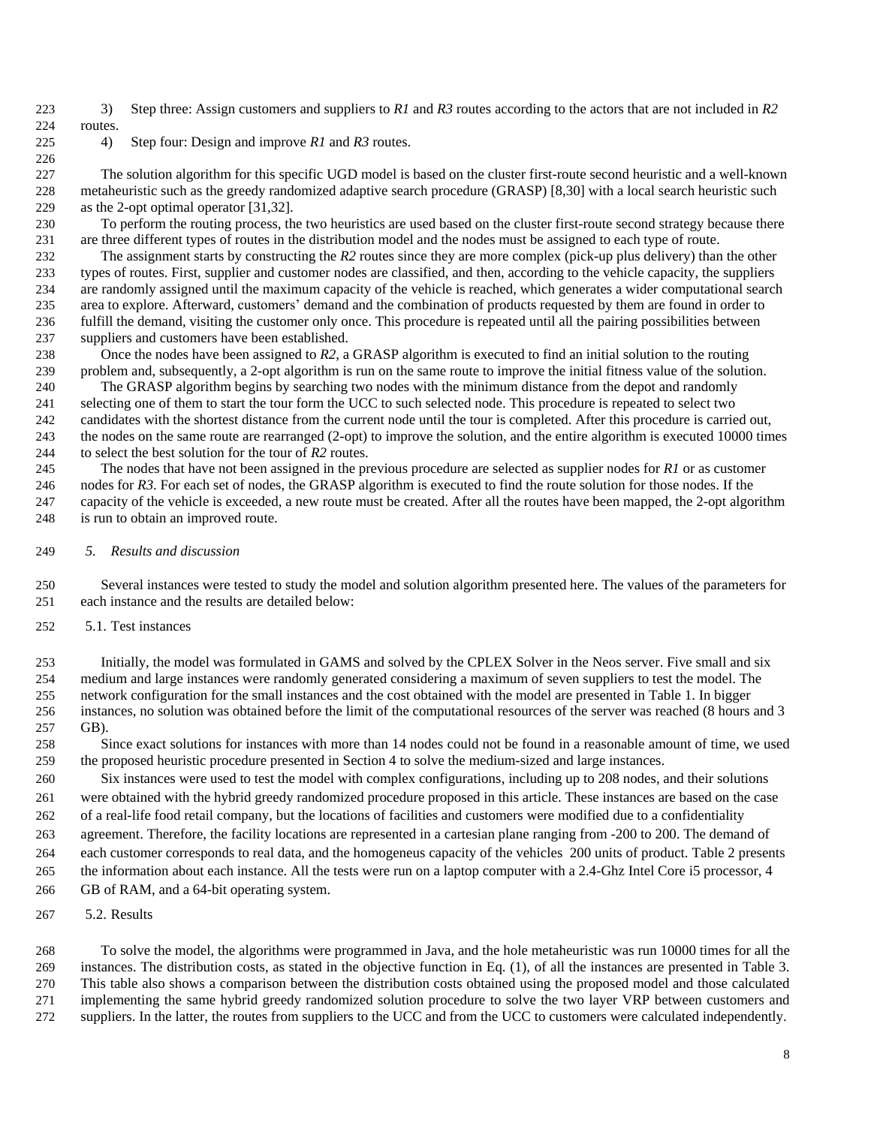3) Step three: Assign customers and suppliers to *R1* and *R3* routes according to the actors that are not included in *R2* routes.

4) Step four: Design and improve *R1* and *R3* routes.

 The solution algorithm for this specific UGD model is based on the cluster first-route second heuristic and a well-known metaheuristic such as the greedy randomized adaptive search procedure (GRASP) [8,30] with a local search heuristic such as the 2-opt optimal operator [31,32].

 To perform the routing process, the two heuristics are used based on the cluster first-route second strategy because there are three different types of routes in the distribution model and the nodes must be assigned to each type of route.

 The assignment starts by constructing the *R2* routes since they are more complex (pick-up plus delivery) than the other types of routes. First, supplier and customer nodes are classified, and then, according to the vehicle capacity, the suppliers are randomly assigned until the maximum capacity of the vehicle is reached, which generates a wider computational search area to explore. Afterward, customers' demand and the combination of products requested by them are found in order to fulfill the demand, visiting the customer only once. This procedure is repeated until all the pairing possibilities between suppliers and customers have been established.

 Once the nodes have been assigned to *R2*, a GRASP algorithm is executed to find an initial solution to the routing problem and, subsequently, a 2-opt algorithm is run on the same route to improve the initial fitness value of the solution.

 The GRASP algorithm begins by searching two nodes with the minimum distance from the depot and randomly selecting one of them to start the tour form the UCC to such selected node. This procedure is repeated to select two candidates with the shortest distance from the current node until the tour is completed. After this procedure is carried out, the nodes on the same route are rearranged (2-opt) to improve the solution, and the entire algorithm is executed 10000 times to select the best solution for the tour of *R2* routes.

 The nodes that have not been assigned in the previous procedure are selected as supplier nodes for *R1* or as customer nodes for *R3*. For each set of nodes, the GRASP algorithm is executed to find the route solution for those nodes. If the capacity of the vehicle is exceeded, a new route must be created. After all the routes have been mapped, the 2-opt algorithm is run to obtain an improved route.

*5. Results and discussion*

 Several instances were tested to study the model and solution algorithm presented here. The values of the parameters for each instance and the results are detailed below:

5.1. Test instances

 Initially, the model was formulated in GAMS and solved by the CPLEX Solver in the Neos server. Five small and six medium and large instances were randomly generated considering a maximum of seven suppliers to test the model. The network configuration for the small instances and the cost obtained with the model are presented in Table 1. In bigger instances, no solution was obtained before the limit of the computational resources of the server was reached (8 hours and 3 GB).

 Since exact solutions for instances with more than 14 nodes could not be found in a reasonable amount of time, we used the proposed heuristic procedure presented in Section 4 to solve the medium-sized and large instances.

 Six instances were used to test the model with complex configurations, including up to 208 nodes, and their solutions were obtained with the hybrid greedy randomized procedure proposed in this article. These instances are based on the case of a real-life food retail company, but the locations of facilities and customers were modified due to a confidentiality agreement. Therefore, the facility locations are represented in a cartesian plane ranging from -200 to 200. The demand of each customer corresponds to real data, and the homogeneus capacity of the vehicles 200 units of product. Table 2 presents the information about each instance. All the tests were run on a laptop computer with a 2.4-Ghz Intel Core i5 processor, 4 GB of RAM, and a 64-bit operating system.

5.2. Results

 To solve the model, the algorithms were programmed in Java, and the hole metaheuristic was run 10000 times for all the instances. The distribution costs, as stated in the objective function in Eq. (1), of all the instances are presented in Table 3. This table also shows a comparison between the distribution costs obtained using the proposed model and those calculated implementing the same hybrid greedy randomized solution procedure to solve the two layer VRP between customers and suppliers. In the latter, the routes from suppliers to the UCC and from the UCC to customers were calculated independently.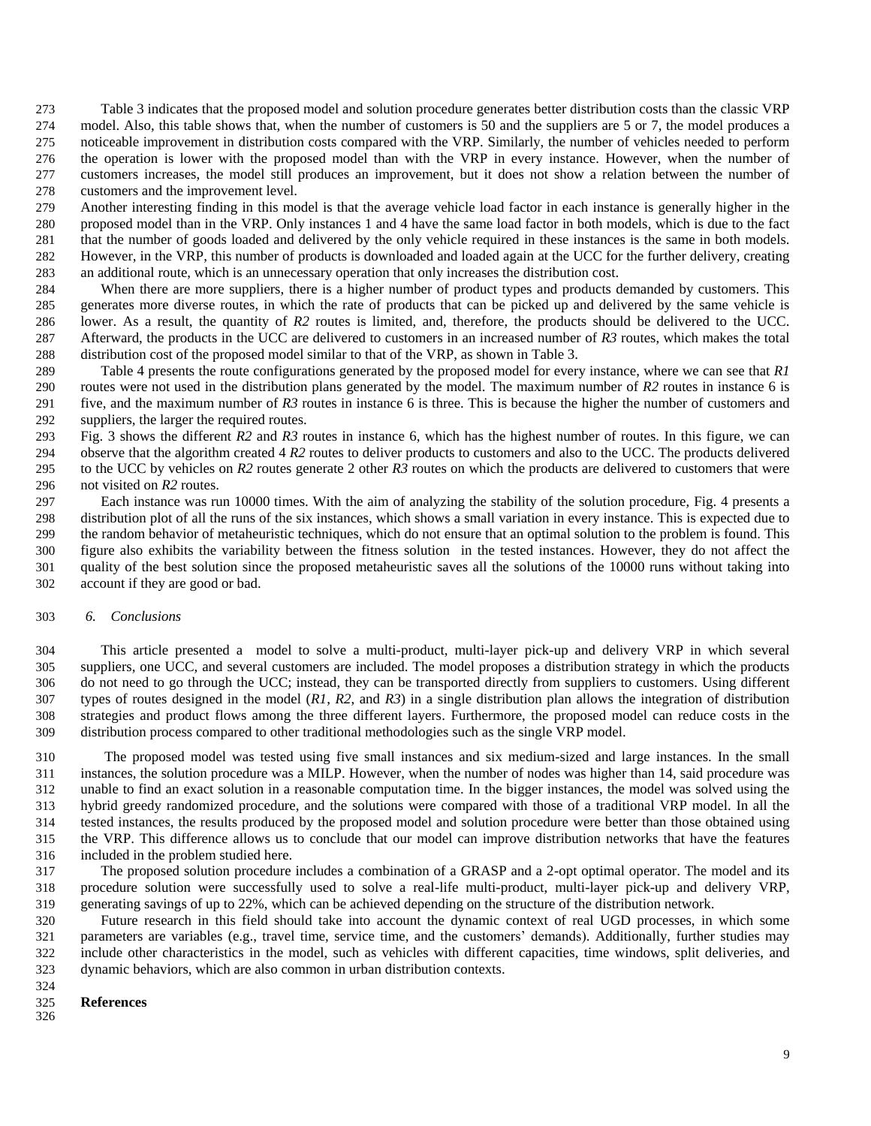Table 3 indicates that the proposed model and solution procedure generates better distribution costs than the classic VRP model. Also, this table shows that, when the number of customers is 50 and the suppliers are 5 or 7, the model produces a noticeable improvement in distribution costs compared with the VRP. Similarly, the number of vehicles needed to perform the operation is lower with the proposed model than with the VRP in every instance. However, when the number of customers increases, the model still produces an improvement, but it does not show a relation between the number of customers and the improvement level.

 Another interesting finding in this model is that the average vehicle load factor in each instance is generally higher in the proposed model than in the VRP. Only instances 1 and 4 have the same load factor in both models, which is due to the fact that the number of goods loaded and delivered by the only vehicle required in these instances is the same in both models. However, in the VRP, this number of products is downloaded and loaded again at the UCC for the further delivery, creating an additional route, which is an unnecessary operation that only increases the distribution cost.

 When there are more suppliers, there is a higher number of product types and products demanded by customers. This generates more diverse routes, in which the rate of products that can be picked up and delivered by the same vehicle is lower. As a result, the quantity of *R2* routes is limited, and, therefore, the products should be delivered to the UCC. Afterward, the products in the UCC are delivered to customers in an increased number of *R3* routes, which makes the total distribution cost of the proposed model similar to that of the VRP, as shown in Table 3.

 Table 4 presents the route configurations generated by the proposed model for every instance, where we can see that *R1* routes were not used in the distribution plans generated by the model. The maximum number of *R2* routes in instance 6 is five, and the maximum number of *R3* routes in instance 6 is three. This is because the higher the number of customers and suppliers, the larger the required routes.

 Fig. 3 shows the different *R2* and *R3* routes in instance 6, which has the highest number of routes. In this figure, we can observe that the algorithm created 4 *R2* routes to deliver products to customers and also to the UCC. The products delivered to the UCC by vehicles on *R2* routes generate 2 other *R3* routes on which the products are delivered to customers that were not visited on *R2* routes.

 Each instance was run 10000 times. With the aim of analyzing the stability of the solution procedure, Fig. 4 presents a distribution plot of all the runs of the six instances, which shows a small variation in every instance. This is expected due to the random behavior of metaheuristic techniques, which do not ensure that an optimal solution to the problem is found. This figure also exhibits the variability between the fitness solution in the tested instances. However, they do not affect the quality of the best solution since the proposed metaheuristic saves all the solutions of the 10000 runs without taking into account if they are good or bad.

# *6. Conclusions*

 This article presented a model to solve a multi-product, multi-layer pick-up and delivery VRP in which several suppliers, one UCC, and several customers are included. The model proposes a distribution strategy in which the products do not need to go through the UCC; instead, they can be transported directly from suppliers to customers. Using different types of routes designed in the model (*R1*, *R2*, and *R3*) in a single distribution plan allows the integration of distribution strategies and product flows among the three different layers. Furthermore, the proposed model can reduce costs in the distribution process compared to other traditional methodologies such as the single VRP model.

 The proposed model was tested using five small instances and six medium-sized and large instances. In the small instances, the solution procedure was a MILP. However, when the number of nodes was higher than 14, said procedure was unable to find an exact solution in a reasonable computation time. In the bigger instances, the model was solved using the hybrid greedy randomized procedure, and the solutions were compared with those of a traditional VRP model. In all the tested instances, the results produced by the proposed model and solution procedure were better than those obtained using the VRP. This difference allows us to conclude that our model can improve distribution networks that have the features included in the problem studied here.

 The proposed solution procedure includes a combination of a GRASP and a 2-opt optimal operator. The model and its procedure solution were successfully used to solve a real-life multi-product, multi-layer pick-up and delivery VRP, generating savings of up to 22%, which can be achieved depending on the structure of the distribution network.

 Future research in this field should take into account the dynamic context of real UGD processes, in which some parameters are variables (e.g., travel time, service time, and the customers' demands). Additionally, further studies may include other characteristics in the model, such as vehicles with different capacities, time windows, split deliveries, and dynamic behaviors, which are also common in urban distribution contexts.

#### **References**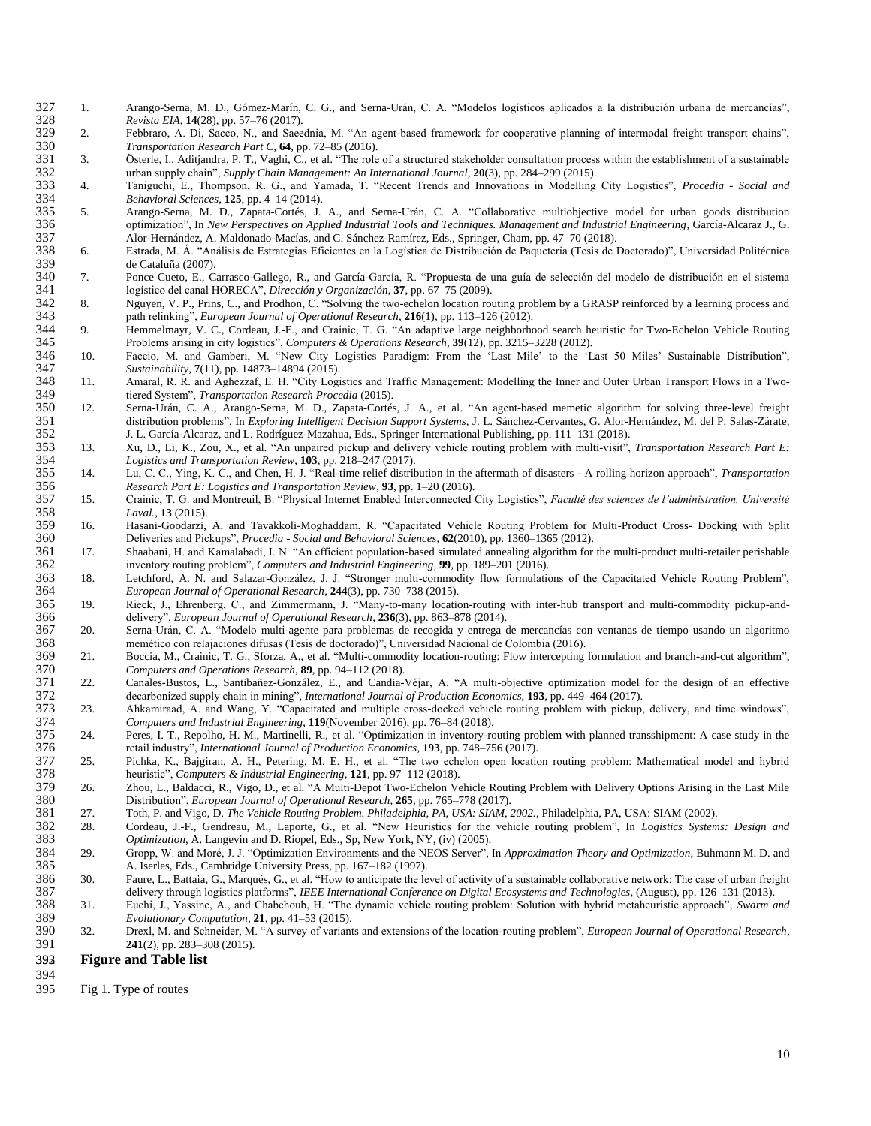- 327 1. Arango-Serna, M. D., Gómez-Marín, C. G., and Serna-Urán, C. A. "Modelos logísticos aplicados a la distribución urbana de mercancías", 328 Revista EIA, 14(28), pp. 57-76 (2017). 328 *Revista EIA*, **14**(28), pp. 57–76 (2017).
- 2. Febbraro, A. Di, Sacco, N., and Saeednia, M. "An agent-based framework for cooperative planning of intermodal freight transport chains", 330 Transportation Research Part C, 64, pp. 72-85 (2016). 330 *Transportation Research Part C*, **64**, pp. 72–85 (2016).<br>331 3. Österle, I., Aditjandra, P. T., Vaghi, C., et al. "The role
- 331 3. Österle, I., Aditjandra, P. T., Vaghi, C., et al. "The role of a structured stakeholder consultation process within the establishment of a sustainable urban supply chain", *Supply Chain Management: An International* 332 urban supply chain", *Supply Chain Management: An International Journal*, **20**(3), pp. 284–299 (2015).<br>333 4. Taniguchi, E., Thompson, R. G., and Yamada, T. "Recent Trends and Innovations in Modelling
- 333 4. Taniguchi, E., Thompson, R. G., and Yamada, T. "Recent Trends and Innovations in Modelling City Logistics", *Procedia - Social and*  334 *Behavioral Sciences*, **125**, pp. 4–14 (2014).
- 5. Arango-Serna, M. D., Zapata-Cortés, J. A., and Serna-Urán, C. A. "Collaborative multiobjective model for urban goods distribution optimization", In New Perspectives on Applied Industrial Tools and Techniques. Management 336 optimization", In *New Perspectives on Applied Industrial Tools and Techniques. Management and Industrial Engineering*, García-Alcaraz J., G.<br>337 Alor-Hernández, A. Maldonado-Macías, and C. Sánchez-Ramírez, Eds., Sprin
- 337 Alor-Hernández, A. Maldonado-Macías, and C. Sánchez-Ramírez, Eds., Springer, Cham, pp. 47–70 (2018). 338 6. Estrada, M. Á. "Análisis de Estrategias Eficientes en la Logística de Distribución de Paquetería (Tesis de Doctorado)", Universidad Politécnica de Cataluña (2007).
- 340 7. Ponce-Cueto, E., Carrasco-Gallego, R., and García-García, R. "Propuesta de una guía de selección del modelo de distribución en el sistema 341 logístico del canal HORECA", *Dirección y Organización*, 37, pp. 67–75 (2 341 logístico del canal HORECA", *Dirección y Organización*, **37**, pp. 67–75 (2009).
- 342 8. Nguyen, V. P., Prins, C., and Prodhon, C. "Solving the two-echelon location routing problem by a GRASP reinforced by a learning process and path relinking", *European Journal of Operational Research*, 216(1), pp. 11 343 path relinking", *European Journal of Operational Research*, **216**(1), pp. 113–126 (2012).
- 344 9. Hemmelmayr, V. C., Cordeau, J.-F., and Crainic, T. G. "An adaptive large neighborhood search heuristic for Two-Echelon Vehicle Routing<br>345 Problems arising in city logistics". Computers & Operations Research. 39(12) 345 Problems arising in city logistics", *Computers & Operations Research*, **39**(12), pp. 3215–3228 (2012).
- 346 10. Faccio, M. and Gamberi, M. "New City Logistics Paradigm: From the 'Last Mile' to the 'Last 50 Miles' Sustainable Distribution",<br>347 Sustainability, 7(11), pp. 14873–14894 (2015). 347 *Sustainability*, **7**(11), pp. 14873–14894 (2015).
- 348 11. Amaral, R. R. and Aghezzaf, E. H. "City Logistics and Traffic Management: Modelling the Inner and Outer Urban Transport Flows in a Two-<br>349 tiered System". Transportation Research Procedia (2015). 349 tiered System", *Transportation Research Procedia* (2015).
- 350 12. Serna-Urán, C. A., Arango-Serna, M. D., Zapata-Cortés, J. A., et al. "An agent-based memetic algorithm for solving three-level freight distribution problems", In Exploring Intelligent Decision Support Systems, J. L 351 distribution problems", In *Exploring Intelligent Decision Support Systems*, J. L. Sánchez-Cervantes, G. Alor-Hernández, M. del P. Salas-Zárate, 352 J. L. García-Alcaraz, and L. Rodríguez-Mazahua, Eds., Springer International Publishing, pp. 111–131 (2018).
- 353 13. Xu, D., Li, K., Zou, X., et al. "An unpaired pickup and delivery vehicle routing problem with multi-visit", *Transportation Research Part E:*  354 *Logistics and Transportation Review*, **103**, pp. 218–247 (2017).
- 355 14. Lu, C. C., Ying, K. C., and Chen, H. J. "Real-time relief distribution in the aftermath of disasters A rolling horizon approach", *Transportation*  356 *Research Part E: Logistics and Transportation Review*, **93**, pp. 1–20 (2016).
- 357 15. Crainic, T. G. and Montreuil, B. "Physical Internet Enabled Interconnected City Logistics", *Faculté des sciences de l'administration, Université*  358 *Laval.*, **13** (2015).
- 359 16. Hasani-Goodarzi, A. and Tavakkoli-Moghaddam, R. "Capacitated Vehicle Routing Problem for Multi-Product Cross- Docking with Split 360<br>360 Deliveries and Pickups", Procedia Social and Behavioral Sciences, 62(2010), 360 Deliveries and Pickups", *Procedia - Social and Behavioral Sciences*, **62**(2010), pp. 1360–1365 (2012).
- 361 17. Shaabani, H. and Kamalabadi, I. N. "An efficient population-based simulated annealing algorithm for the multi-product multi-retailer perishable<br>362 inventory routing problem", *Computers and Industrial Engineering* 362 inventory routing problem", *Computers and Industrial Engineering*, **99**, pp. 189–201 (2016).
- 363 18. Letchford, A. N. and Salazar-González, J. J. "Stronger multi-commodity flow formulations of the Capacitated Vehicle Routing Problem", 364 European Journal of Operational Research, 244(3), pp. 730–738 (2015). 364 *European Journal of Operational Research*, **244**(3), pp. 730–738 (2015).
- 365 19. Rieck, J., Ehrenberg, C., and Zimmermann, J. "Many-to-many location-routing with inter-hub transport and multi-commodity pickup-and-<br>366 19. Riecky, European Journal of Operational Research, 236(3), pp. 863–878 (20 366 delivery", *European Journal of Operational Research*, **236**(3), pp. 863–878 (2014).
- 367 20. Serna-Urán, C. A. "Modelo multi-agente para problemas de recogida y entrega de mercancías con ventanas de tiempo usando un algoritmo 368 memético con relajaciones difusas (Tesis de doctorado)", Universidad Nacional de Colombia (2016).
- 369 21. Boccia, M., Crainic, T. G., Sforza, A., et al. "Multi-commodity location-routing: Flow intercepting formulation and branch-and-cut algorithm",  $\emph{Computers}$  and Operations Research, 89, pp. 94-112 (2018). 370 *Computers and Operations Research*, **89**, pp. 94–112 (2018).
- 371 22. Canales-Bustos, L., Santibañez-González, E., and Candia-Véjar, A. "A multi-objective optimization model for the design of an effective decarbonized supply chain in mining", *International Journal of Production Econ* 372 decarbonized supply chain in mining", *International Journal of Production Economics*, **193**, pp. 449–464 (2017).<br>373 23. Ahkamiraad, A. and Wang, Y. "Capacitated and multiple cross-docked vehicle routing problem with
- 373 23. Ahkamiraad, A. and Wang, Y. "Capacitated and multiple cross-docked vehicle routing problem with pickup, delivery, and time windows", 374 Computers and Industrial Engineering, 119 (November 2016), pp. 76–84 (2018).
- 374 *Computers and Industrial Engineering*, **119**(November 2016), pp. 76–84 (2018). 24. Peres, I. T., Repolho, H. M., Martinelli, R., et al. "Optimization in inventory-routing problem with planned transshipment: A case study in the retail industry". *International Journal of Production Economics*, 193, pp 376 retail industry", *International Journal of Production Economics*, **193**, pp. 748–756 (2017).
- 377 25. Pichka, K., Bajgiran, A. H., Petering, M. E. H., et al. "The two echelon open location routing problem: Mathematical model and hybrid heuristic", Computers & Industrial Engineering, 121, pp. 97-112 (2018). 378 heuristic", *Computers & Industrial Engineering*, **121**, pp. 97–112 (2018).
- 379 26. Zhou, L., Baldacci, R., Vigo, D., et al. "A Multi-Depot Two-Echelon Vehicle Routing Problem with Delivery Options Arising in the Last Mile<br>380 Distribution". *European Journal of Operational Research*, 265, pp. 765 380 Distribution", *European Journal of Operational Research*, **265**, pp. 765–778 (2017).
- 381 27. Toth, P. and Vigo, D. *The Vehicle Routing Problem. Philadelphia, PA, USA: SIAM, 2002.*, Philadelphia, PA, USA: SIAM (2002).
- 382 28. Cordeau, J.-F., Gendreau, M., Laporte, G., et al. "New Heuristics for the vehicle routing problem", In *Logistics Systems: Design and*  383 *Optimization*, A. Langevin and D. Riopel, Eds., Sp, New York, NY, (iv) (2005).<br>384 29. Gropp, W. and Moré, J. J. "Optimization Environments and the NEOS Server".
- 384 29. Gropp, W. and Moré, J. J. "Optimization Environments and the NEOS Server", In *Approximation Theory and Optimization*, Buhmann M. D. and 385 A. Iserles, Eds., Cambridge University Press, pp. 167–182 (1997).<br>386 30. Faure. L., Battaia. G., Marqués. G., et al. "How to anticipate the le
- 386 30. Faure, L., Battaia, G., Marqués, G., et al. "How to anticipate the level of activity of a sustainable collaborative network: The case of urban freight delivery through logistics platforms", IEEE International Confe delivery through logistics platforms", *IEEE International Conference on Digital Ecosystems and Technologies*, (August), pp. 126–131 (2013).<br>388 31. Euchi, J., Yassine, A., and Chabchoub, H. "The dynamic vehicle routing pr
- 388 31. Euchi, J., Yassine, A., and Chabchoub, H. "The dynamic vehicle routing problem: Solution with hybrid metaheuristic approach", *Swarm and*  389 *Evolutionary Computation*, **21**, pp. 41–53 (2015).
- 390 32. Drexl, M. and Schneider, M. "A survey of variants and extensions of the location-routing problem", *European Journal of Operational Research*, 391 **241**(2), pp. 283–308 (2015).

### 3923 **Figure and Table list**

- 394
- 395 Fig 1. Type of routes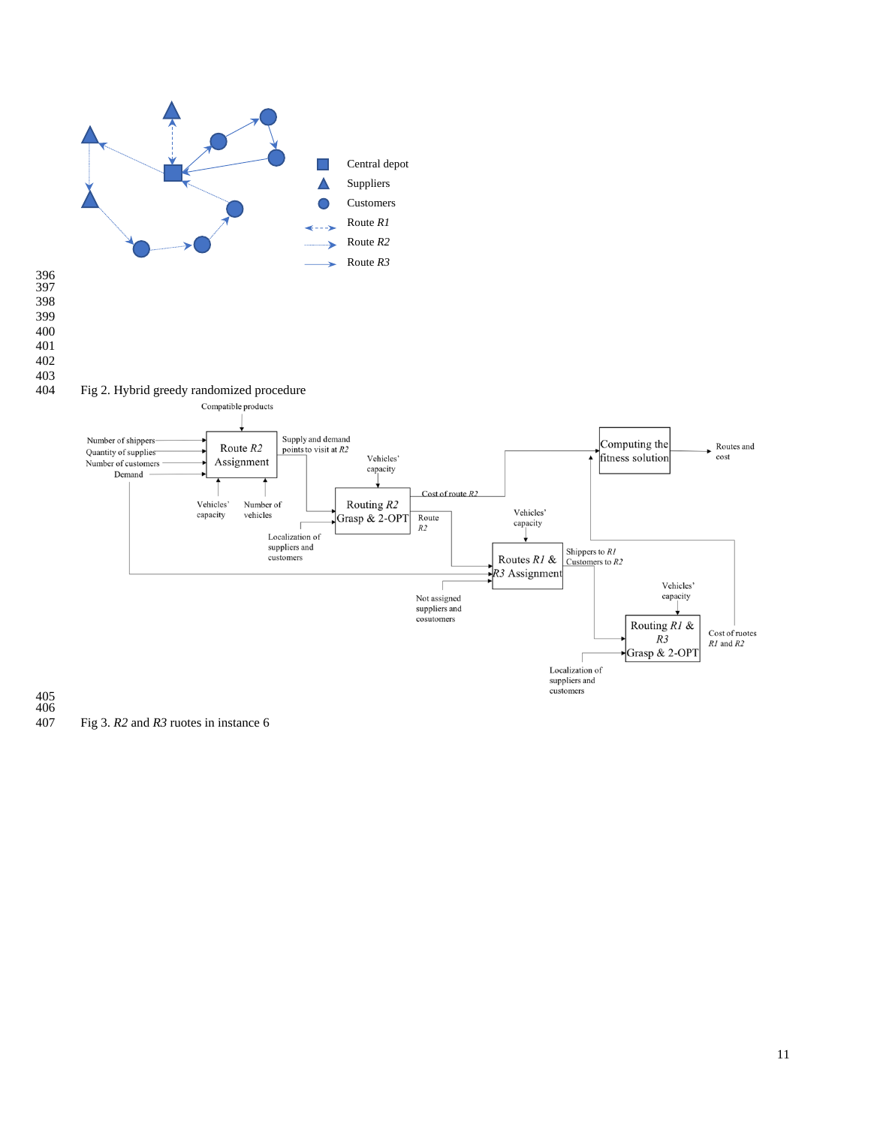

 

Fig 3. *R2* and *R3* ruotes in instance 6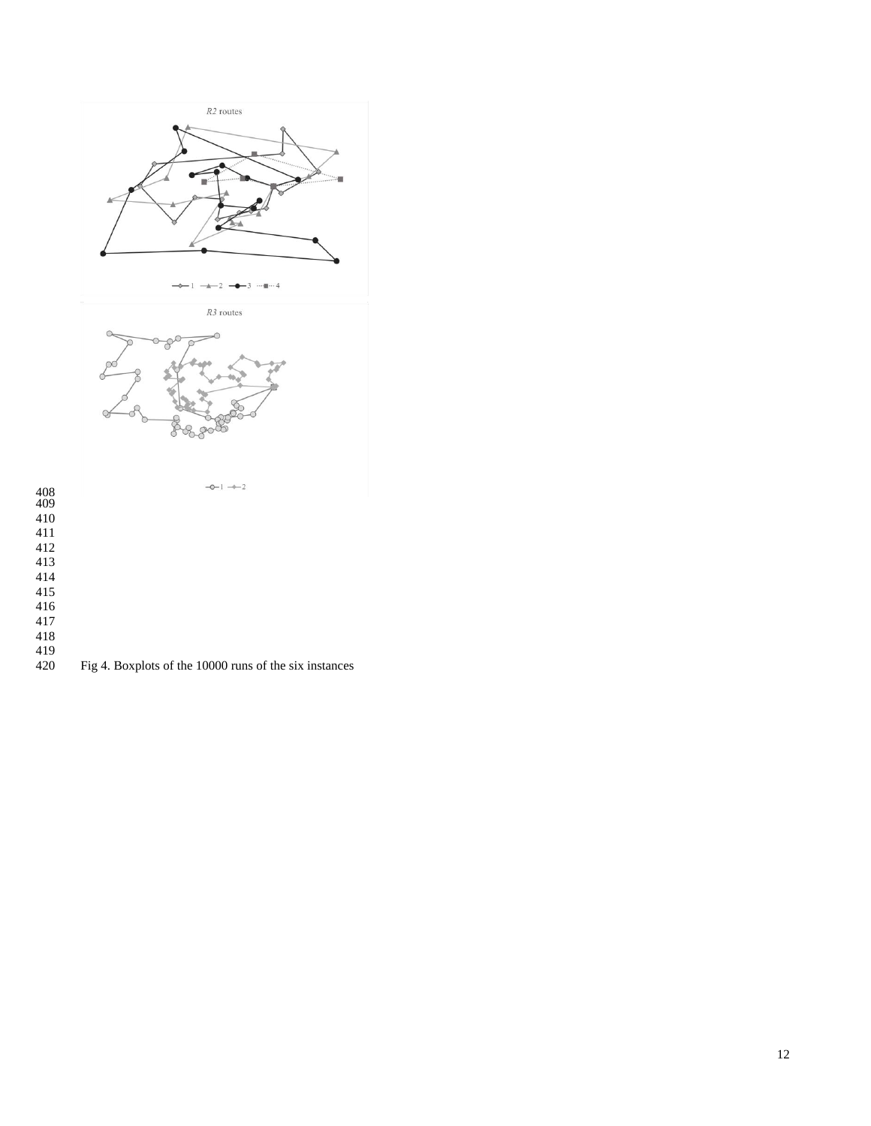

- 
- 
- 
- 
- Fig 4. Boxplots of the 10000 runs of the six instances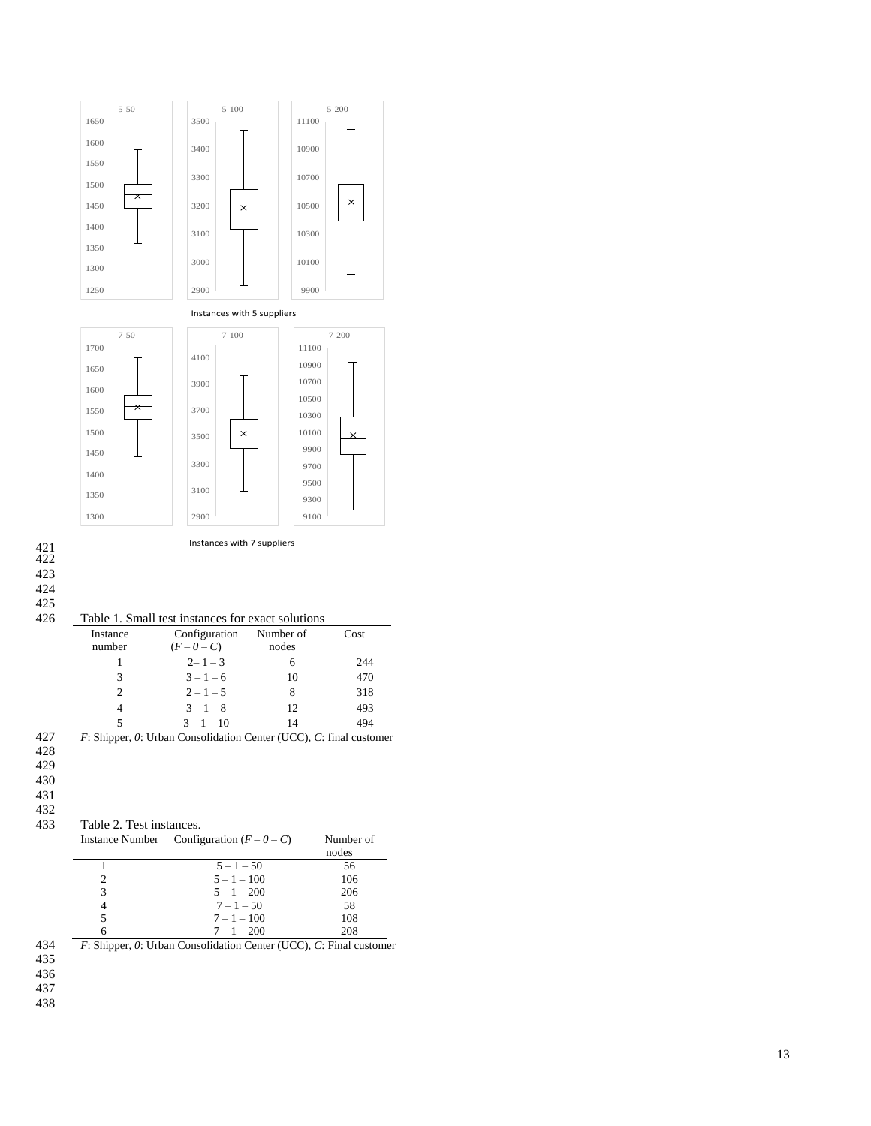



Table 1. Small test instances for exact solutions

| гаото т. оннан тож твяанооз тог оласт зонатонз |                                                                       |           |      |  |  |  |  |  |
|------------------------------------------------|-----------------------------------------------------------------------|-----------|------|--|--|--|--|--|
| Instance                                       | Configuration                                                         | Number of | Cost |  |  |  |  |  |
| number                                         | $(F-0-C)$                                                             | nodes     |      |  |  |  |  |  |
|                                                | $2 - 1 - 3$                                                           | 6         | 244  |  |  |  |  |  |
| 3                                              | $3 - 1 - 6$                                                           | 10        | 470  |  |  |  |  |  |
| 2                                              | $2 - 1 - 5$                                                           | 8         | 318  |  |  |  |  |  |
| 4                                              | $3 - 1 - 8$                                                           | 12        | 493  |  |  |  |  |  |
| 5                                              | $3 - 1 - 10$                                                          | 14        | 494  |  |  |  |  |  |
|                                                | $F$ : Shinner, O: Urban Consolidation Center (UCC), C: final customer |           |      |  |  |  |  |  |

427 *F*: Shipper, *0*: Urban Consolidation Center (UCC), *C*: final customer

- 428 429
- 430

431

#### 432<br>433 433 Table 2. Test instances .

| <b>Instance Number</b> | Configuration $(F - 0 - C)$ | Number of |  |  |
|------------------------|-----------------------------|-----------|--|--|
|                        |                             | nodes     |  |  |
|                        | $5 - 1 - 50$                | 56        |  |  |
| 2                      | $5 - 1 - 100$               | 106       |  |  |
| 3                      | $5 - 1 - 200$               | 206       |  |  |
| 4                      | $7 - 1 - 50$                | 58        |  |  |
| 5                      | $7 - 1 - 100$               | 108       |  |  |
| 6                      | $7 - 1 - 200$               | 208       |  |  |

434 435 436